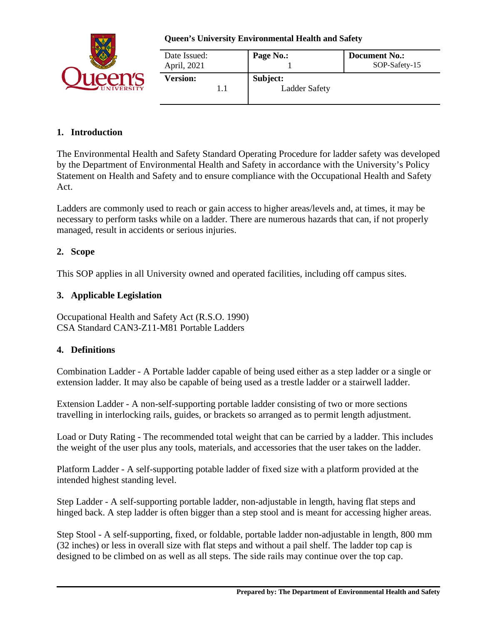

| Date Issued:<br>April, 2021 | Page No.:                        | Document No.:<br>SOP-Safety-15 |
|-----------------------------|----------------------------------|--------------------------------|
| <b>Version:</b>             | Subject:<br><b>Ladder Safety</b> |                                |
|                             |                                  |                                |

# **1. Introduction**

The Environmental Health and Safety Standard Operating Procedure for ladder safety was developed by the Department of Environmental Health and Safety in accordance with the University's Policy Statement on Health and Safety and to ensure compliance with the Occupational Health and Safety Act.

Ladders are commonly used to reach or gain access to higher areas/levels and, at times, it may be necessary to perform tasks while on a ladder. There are numerous hazards that can, if not properly managed, result in accidents or serious injuries.

# **2. Scope**

This SOP applies in all University owned and operated facilities, including off campus sites.

### **3. Applicable Legislation**

Occupational Health and Safety Act (R.S.O. 1990) CSA Standard CAN3-Z11-M81 Portable Ladders

### **4. Definitions**

Combination Ladder - A Portable ladder capable of being used either as a step ladder or a single or extension ladder. It may also be capable of being used as a trestle ladder or a stairwell ladder.

Extension Ladder - A non-self-supporting portable ladder consisting of two or more sections travelling in interlocking rails, guides, or brackets so arranged as to permit length adjustment.

Load or Duty Rating - The recommended total weight that can be carried by a ladder. This includes the weight of the user plus any tools, materials, and accessories that the user takes on the ladder.

Platform Ladder - A self-supporting potable ladder of fixed size with a platform provided at the intended highest standing level.

Step Ladder - A self-supporting portable ladder, non-adjustable in length, having flat steps and hinged back. A step ladder is often bigger than a step stool and is meant for accessing higher areas.

Step Stool - A self-supporting, fixed, or foldable, portable ladder non-adjustable in length, 800 mm (32 inches) or less in overall size with flat steps and without a pail shelf. The ladder top cap is designed to be climbed on as well as all steps. The side rails may continue over the top cap.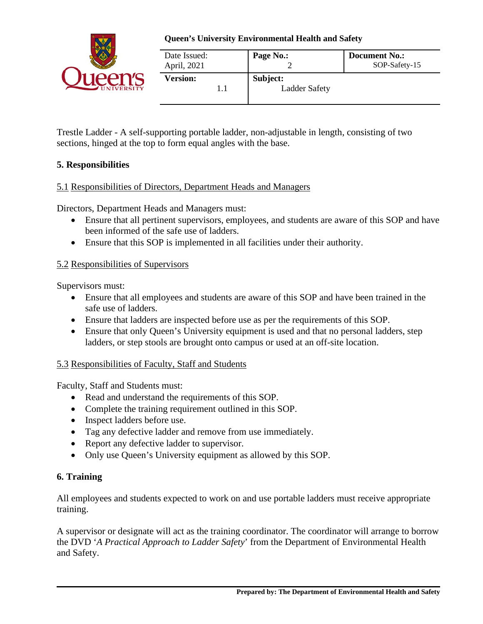

| Date Issued:<br>April, 2021 | Page No.:                        | <b>Document No.:</b><br>SOP-Safety-15 |
|-----------------------------|----------------------------------|---------------------------------------|
| <b>Version:</b>             | Subject:<br><b>Ladder Safety</b> |                                       |

Trestle Ladder - A self-supporting portable ladder, non-adjustable in length, consisting of two sections, hinged at the top to form equal angles with the base.

### **5. Responsibilities**

### 5.1 Responsibilities of Directors, Department Heads and Managers

Directors, Department Heads and Managers must:

- Ensure that all pertinent supervisors, employees, and students are aware of this SOP and have been informed of the safe use of ladders.
- Ensure that this SOP is implemented in all facilities under their authority.

### 5.2 Responsibilities of Supervisors

Supervisors must:

- Ensure that all employees and students are aware of this SOP and have been trained in the safe use of ladders.
- Ensure that ladders are inspected before use as per the requirements of this SOP.
- Ensure that only Queen's University equipment is used and that no personal ladders, step ladders, or step stools are brought onto campus or used at an off-site location.

### 5.3 Responsibilities of Faculty, Staff and Students

Faculty, Staff and Students must:

- Read and understand the requirements of this SOP.
- Complete the training requirement outlined in this SOP.
- Inspect ladders before use.
- Tag any defective ladder and remove from use immediately.
- Report any defective ladder to supervisor.
- Only use Queen's University equipment as allowed by this SOP.

### **6. Training**

All employees and students expected to work on and use portable ladders must receive appropriate training.

A supervisor or designate will act as the training coordinator. The coordinator will arrange to borrow the DVD '*A Practical Approach to Ladder Safety*' from the Department of Environmental Health and Safety.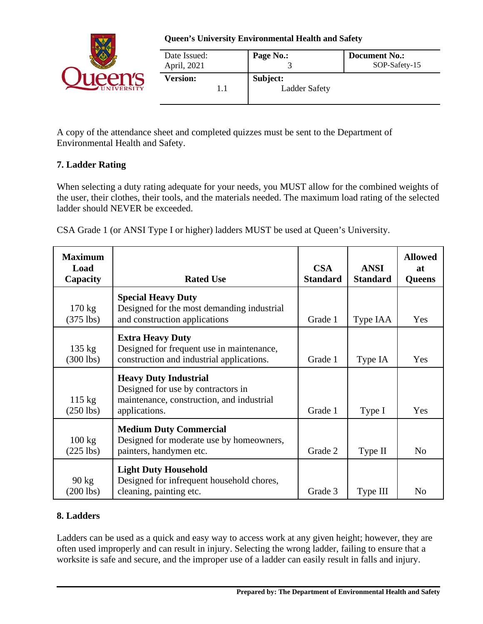

| Date Issued:<br>April, 2021 | Page No.:                        | <b>Document No.:</b><br>SOP-Safety-15 |
|-----------------------------|----------------------------------|---------------------------------------|
| <b>Version:</b>             | Subject:<br><b>Ladder Safety</b> |                                       |

A copy of the attendance sheet and completed quizzes must be sent to the Department of Environmental Health and Safety.

# **7. Ladder Rating**

When selecting a duty rating adequate for your needs, you MUST allow for the combined weights of the user, their clothes, their tools, and the materials needed. The maximum load rating of the selected ladder should NEVER be exceeded.

CSA Grade 1 (or ANSI Type I or higher) ladders MUST be used at Queen's University.

| <b>Maximum</b><br>Load<br>Capacity | <b>Rated Use</b>                                                                                                                 | <b>CSA</b><br><b>Standard</b> | <b>ANSI</b><br><b>Standard</b> | <b>Allowed</b><br><b>at</b><br><b>Queens</b> |
|------------------------------------|----------------------------------------------------------------------------------------------------------------------------------|-------------------------------|--------------------------------|----------------------------------------------|
| $170 \text{ kg}$<br>$(375$ lbs)    | <b>Special Heavy Duty</b><br>Designed for the most demanding industrial<br>and construction applications                         | Grade 1                       | Type IAA                       | Yes                                          |
| $135 \text{ kg}$<br>$(300$ lbs)    | <b>Extra Heavy Duty</b><br>Designed for frequent use in maintenance,<br>construction and industrial applications.                | Grade 1                       | Type IA                        | Yes                                          |
| $115 \text{ kg}$<br>$(250$ lbs)    | <b>Heavy Duty Industrial</b><br>Designed for use by contractors in<br>maintenance, construction, and industrial<br>applications. | Grade 1                       | Type I                         | Yes                                          |
| $100 \text{ kg}$<br>$(225$ lbs)    | <b>Medium Duty Commercial</b><br>Designed for moderate use by homeowners,<br>painters, handymen etc.                             | Grade 2                       | Type II                        | N <sub>o</sub>                               |
| $90 \text{ kg}$<br>$(200$ lbs)     | <b>Light Duty Household</b><br>Designed for infrequent household chores,<br>cleaning, painting etc.                              | Grade 3                       | Type III                       | N <sub>o</sub>                               |

### **8. Ladders**

Ladders can be used as a quick and easy way to access work at any given height; however, they are often used improperly and can result in injury. Selecting the wrong ladder, failing to ensure that a worksite is safe and secure, and the improper use of a ladder can easily result in falls and injury.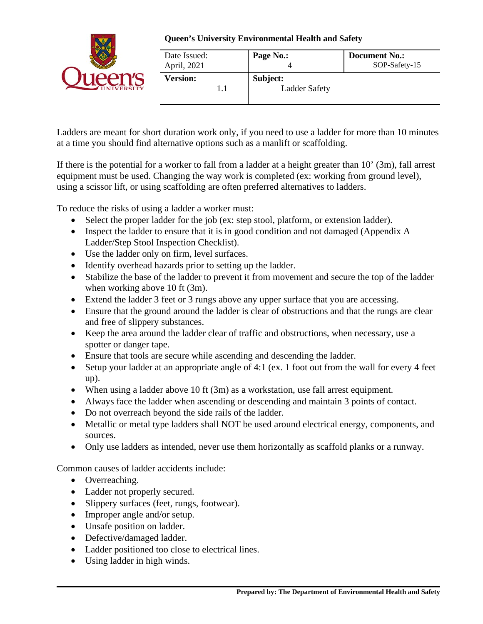

| Date Issued:<br>April, 2021 | Page No.:                        | <b>Document No.:</b><br>SOP-Safety-15 |
|-----------------------------|----------------------------------|---------------------------------------|
| <b>Version:</b>             | Subject:<br><b>Ladder Safety</b> |                                       |

Ladders are meant for short duration work only, if you need to use a ladder for more than 10 minutes at a time you should find alternative options such as a manlift or scaffolding.

If there is the potential for a worker to fall from a ladder at a height greater than 10' (3m), fall arrest equipment must be used. Changing the way work is completed (ex: working from ground level), using a scissor lift, or using scaffolding are often preferred alternatives to ladders.

To reduce the risks of using a ladder a worker must:

- Select the proper ladder for the job (ex: step stool, platform, or extension ladder).
- Inspect the ladder to ensure that it is in good condition and not damaged (Appendix A Ladder/Step Stool Inspection Checklist).
- Use the ladder only on firm, level surfaces.
- Identify overhead hazards prior to setting up the ladder.
- Stabilize the base of the ladder to prevent it from movement and secure the top of the ladder when working above 10 ft (3m).
- Extend the ladder 3 feet or 3 rungs above any upper surface that you are accessing.
- Ensure that the ground around the ladder is clear of obstructions and that the rungs are clear and free of slippery substances.
- Keep the area around the ladder clear of traffic and obstructions, when necessary, use a spotter or danger tape.
- Ensure that tools are secure while ascending and descending the ladder.
- Setup your ladder at an appropriate angle of 4:1 (ex. 1 foot out from the wall for every 4 feet up).
- When using a ladder above 10 ft (3m) as a workstation, use fall arrest equipment.
- Always face the ladder when ascending or descending and maintain 3 points of contact.
- Do not overreach beyond the side rails of the ladder.
- Metallic or metal type ladders shall NOT be used around electrical energy, components, and sources.
- Only use ladders as intended, never use them horizontally as scaffold planks or a runway.

Common causes of ladder accidents include:

- Overreaching.
- Ladder not properly secured.
- Slippery surfaces (feet, rungs, footwear).
- Improper angle and/or setup.
- Unsafe position on ladder.
- Defective/damaged ladder.
- Ladder positioned too close to electrical lines.
- Using ladder in high winds.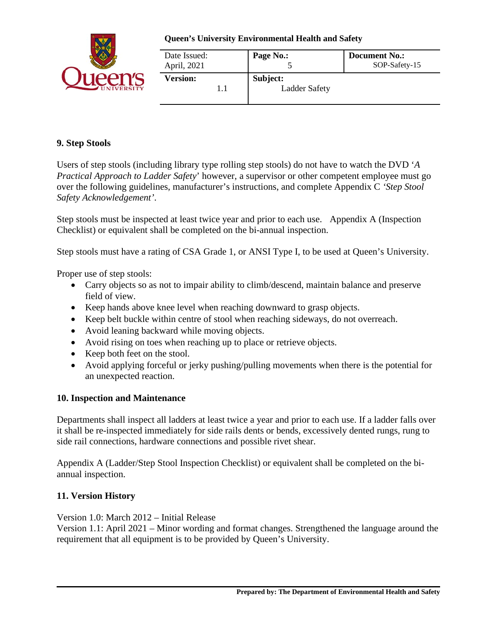

| Date Issued:<br>April, 2021 | Page No.:                        | <b>Document No.:</b><br>SOP-Safety-15 |
|-----------------------------|----------------------------------|---------------------------------------|
| <b>Version:</b>             | Subject:<br><b>Ladder Safety</b> |                                       |

### **9. Step Stools**

Users of step stools (including library type rolling step stools) do not have to watch the DVD '*A Practical Approach to Ladder Safety*' however, a supervisor or other competent employee must go over the following guidelines, manufacturer's instructions, and complete Appendix C *'Step Stool Safety Acknowledgement'*.

Step stools must be inspected at least twice year and prior to each use. Appendix A (Inspection Checklist) or equivalent shall be completed on the bi-annual inspection.

Step stools must have a rating of CSA Grade 1, or ANSI Type I, to be used at Queen's University.

Proper use of step stools:

- Carry objects so as not to impair ability to climb/descend, maintain balance and preserve field of view.
- Keep hands above knee level when reaching downward to grasp objects.
- Keep belt buckle within centre of stool when reaching sideways, do not overreach.
- Avoid leaning backward while moving objects.
- Avoid rising on toes when reaching up to place or retrieve objects.
- Keep both feet on the stool.
- Avoid applying forceful or jerky pushing/pulling movements when there is the potential for an unexpected reaction.

### **10. Inspection and Maintenance**

Departments shall inspect all ladders at least twice a year and prior to each use. If a ladder falls over it shall be re-inspected immediately for side rails dents or bends, excessively dented rungs, rung to side rail connections, hardware connections and possible rivet shear.

Appendix A (Ladder/Step Stool Inspection Checklist) or equivalent shall be completed on the biannual inspection.

# **11. Version History**

Version 1.0: March 2012 – Initial Release

Version 1.1: April 2021 – Minor wording and format changes. Strengthened the language around the requirement that all equipment is to be provided by Queen's University.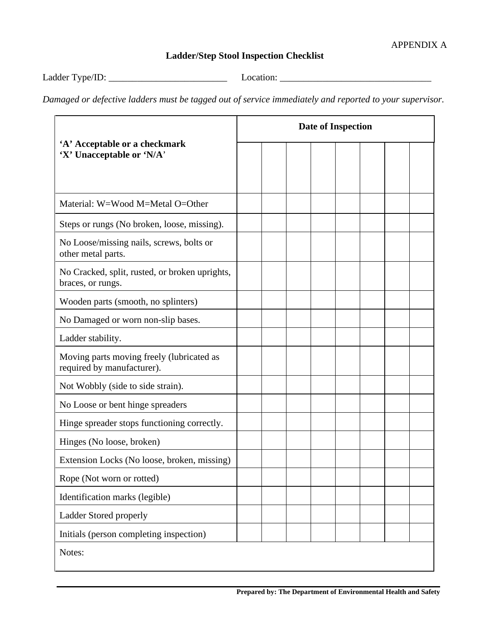# **Ladder/Step Stool Inspection Checklist**

Ladder Type/ID: \_\_\_\_\_\_\_\_\_\_\_\_\_\_\_\_\_\_\_\_\_\_\_\_\_ Location: \_\_\_\_\_\_\_\_\_\_\_\_\_\_\_\_\_\_\_\_\_\_\_\_\_\_\_\_\_\_\_\_

*Damaged or defective ladders must be tagged out of service immediately and reported to your supervisor.*

| 'A' Acceptable or a checkmark<br>'X' Unacceptable or 'N/A'              |  | <b>Date of Inspection</b> |  |  |  |  |  |  |
|-------------------------------------------------------------------------|--|---------------------------|--|--|--|--|--|--|
|                                                                         |  |                           |  |  |  |  |  |  |
| Material: W=Wood M=Metal O=Other                                        |  |                           |  |  |  |  |  |  |
| Steps or rungs (No broken, loose, missing).                             |  |                           |  |  |  |  |  |  |
| No Loose/missing nails, screws, bolts or<br>other metal parts.          |  |                           |  |  |  |  |  |  |
| No Cracked, split, rusted, or broken uprights,<br>braces, or rungs.     |  |                           |  |  |  |  |  |  |
| Wooden parts (smooth, no splinters)                                     |  |                           |  |  |  |  |  |  |
| No Damaged or worn non-slip bases.                                      |  |                           |  |  |  |  |  |  |
| Ladder stability.                                                       |  |                           |  |  |  |  |  |  |
| Moving parts moving freely (lubricated as<br>required by manufacturer). |  |                           |  |  |  |  |  |  |
| Not Wobbly (side to side strain).                                       |  |                           |  |  |  |  |  |  |
| No Loose or bent hinge spreaders                                        |  |                           |  |  |  |  |  |  |
| Hinge spreader stops functioning correctly.                             |  |                           |  |  |  |  |  |  |
| Hinges (No loose, broken)                                               |  |                           |  |  |  |  |  |  |
| Extension Locks (No loose, broken, missing)                             |  |                           |  |  |  |  |  |  |
| Rope (Not worn or rotted)                                               |  |                           |  |  |  |  |  |  |
| Identification marks (legible)                                          |  |                           |  |  |  |  |  |  |
| Ladder Stored properly                                                  |  |                           |  |  |  |  |  |  |
| Initials (person completing inspection)                                 |  |                           |  |  |  |  |  |  |
| Notes:                                                                  |  |                           |  |  |  |  |  |  |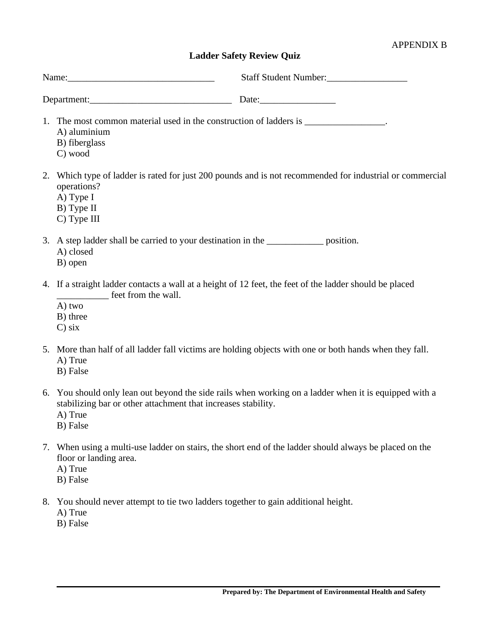### APPENDIX B

# **Ladder Safety Review Quiz**

|             | Name:                                                                                                                                      | Staff Student Number:                                                                                    |  |  |  |
|-------------|--------------------------------------------------------------------------------------------------------------------------------------------|----------------------------------------------------------------------------------------------------------|--|--|--|
| Department: |                                                                                                                                            | Date:                                                                                                    |  |  |  |
|             | 1. The most common material used in the construction of ladders is ________________.<br>A) aluminium<br>B) fiberglass<br>C) wood           |                                                                                                          |  |  |  |
|             | operations?<br>A) Type I<br>B) Type II<br>C) Type III                                                                                      | 2. Which type of ladder is rated for just 200 pounds and is not recommended for industrial or commercial |  |  |  |
|             | 3. A step ladder shall be carried to your destination in the ________________ position.<br>A) closed<br>B) open                            |                                                                                                          |  |  |  |
|             | 4. If a straight ladder contacts a wall at a height of 12 feet, the feet of the ladder should be placed<br>A) two<br>B) three<br>$C$ ) six |                                                                                                          |  |  |  |
|             | A) True<br>B) False                                                                                                                        | 5. More than half of all ladder fall victims are holding objects with one or both hands when they fall.  |  |  |  |
|             | stabilizing bar or other attachment that increases stability.<br>A) True<br>B) False                                                       | 6. You should only lean out beyond the side rails when working on a ladder when it is equipped with a    |  |  |  |
|             | floor or landing area.<br>A) True                                                                                                          | 7. When using a multi-use ladder on stairs, the short end of the ladder should always be placed on the   |  |  |  |

- B) False
- 8. You should never attempt to tie two ladders together to gain additional height.
	- A) True
	- B) False